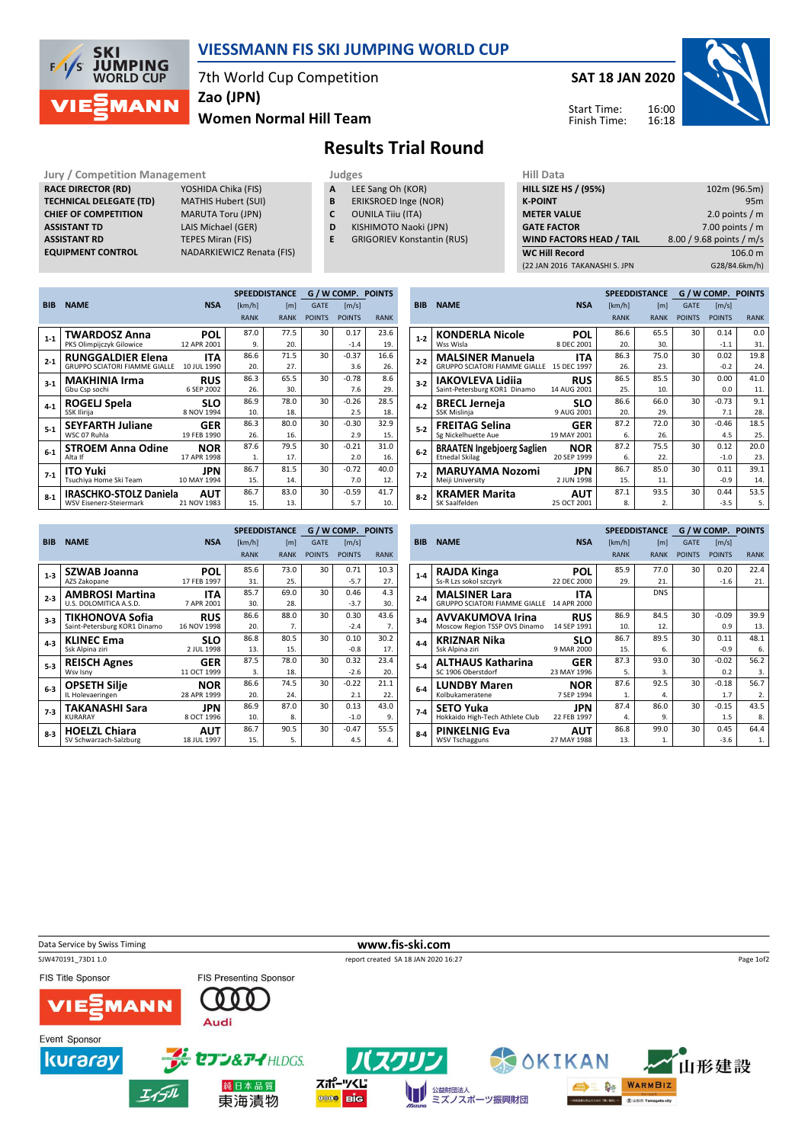

## VIESSMANN FIS SKI JUMPING WORLD CUP

7th World Cup Competition

Zao (JPN)

#### Women Normal Hill Team

### SAT 18 JAN 2020 16:00 16:18 Start Time: Finish Time:



Results Trial Round

#### Jury / Competition Management<br> **RACE DIRECTOR (RD)** YOSHIDA Chika (FIS) **A LEE Sang Oh (KOR)** HILL SIZE HILL SIZE HILL SIZE RACE DIRECTOR (RD) **TECHNICAL DELEGATE (TD)** MATHIS Hubert (SUI)<br> **CHIEF OF COMPETITION** MARUTA Toru (JPN) CHIEF OF COMPETITION ASSISTANT TD LAIS Michael (GER) **ASSISTANT RD** TEPES Miran (FIS)<br> **EQUIPMENT CONTROL** NADARKIEWICZ Re

|  | ------ |  |  |
|--|--------|--|--|
|  |        |  |  |

- A LEE Sang Oh (KOR)
- **B** ERIKSROED Inge (NOR)<br>**C** OUNILA Tiiu (ITA)
	- OUNILA Tiiu (ITA)
- D KISHIMOTO Naoki (JPN)
- E GRIGORIEV Konstantin (RUS)

| nii Data                        |                          |
|---------------------------------|--------------------------|
| <b>HILL SIZE HS / (95%)</b>     | 102m (96.5m)             |
| <b>K-POINT</b>                  | 95m                      |
| <b>METER VALUE</b>              | 2.0 points $/m$          |
| <b>GATE FACTOR</b>              | 7.00 points $/m$         |
| <b>WIND FACTORS HEAD / TAIL</b> | 8.00 / 9.68 points / m/s |
| <b>WC Hill Record</b>           | 106.0 m                  |
| (22 JAN 2016 TAKANASHI S. JPN   | G28/84.6km/h)            |
|                                 |                          |

|            |                                      |             |             | <b>SPEEDDISTANCE</b> |               | <b>G/WCOMP. POINTS</b> |             |
|------------|--------------------------------------|-------------|-------------|----------------------|---------------|------------------------|-------------|
| <b>BIB</b> | <b>NAME</b>                          | <b>NSA</b>  | [km/h]      | [m]                  | <b>GATE</b>   | $\lfloor m/s \rfloor$  |             |
|            |                                      |             | <b>RANK</b> | <b>RANK</b>          | <b>POINTS</b> | <b>POINTS</b>          | <b>RANK</b> |
| $1-1$      | <b>TWARDOSZ Anna</b>                 | POL         | 87.0        | 77.5                 | 30            | 0.17                   | 23.6        |
|            | PKS Olimpijczyk Gilowice             | 12 APR 2001 | 9.          | 20.                  |               | $-1.4$                 | 19.         |
| $2 - 1$    | <b>RUNGGALDIER Elena</b>             | ITA         | 86.6        | 71.5                 | 30            | $-0.37$                | 16.6        |
|            | <b>GRUPPO SCIATORI FIAMME GIALLE</b> | 10 JUL 1990 | 20.         | 27.                  |               | 3.6                    | 26.         |
| $3-1$      | <b>MAKHINIA Irma</b>                 | <b>RUS</b>  | 86.3        | 65.5                 | 30            | $-0.78$                | 8.6         |
|            | Gbu Csp sochi                        | 6 SEP 2002  | 26.         | 30.                  |               | 7.6                    | 29.         |
| $4 - 1$    | ROGELJ Spela                         | SLO         | 86.9        | 78.0                 | 30            | $-0.26$                | 28.5        |
|            | SSK Ilirija                          | 8 NOV 1994  | 10.         | 18.                  |               | 2.5                    | 18.         |
| $5-1$      | <b>SEYFARTH Juliane</b>              | <b>GER</b>  | 86.3        | 80.0                 | 30            | $-0.30$                | 32.9        |
|            | WSC 07 Ruhla                         | 19 FEB 1990 | 26.         | 16.                  |               | 2.9                    | 15.         |
| $6 - 1$    | <b>STROEM Anna Odine</b>             | <b>NOR</b>  | 87.6        | 79.5                 | 30            | $-0.21$                | 31.0        |
|            | Alta If                              | 17 APR 1998 | 1.          | 17.                  |               | 2.0                    | 16.         |
| $7-1$      | <b>ITO Yuki</b>                      | JPN         | 86.7        | 81.5                 | 30            | $-0.72$                | 40.0        |
|            | Tsuchiya Home Ski Team               | 10 MAY 1994 | 15.         | 14.                  |               | 7.0                    | 12.         |
| $8-1$      | <b>IRASCHKO-STOLZ Daniela</b>        | AUT         | 86.7        | 83.0                 | 30            | $-0.59$                | 41.7        |
|            | <b>WSV Eisenerz-Steiermark</b>       | 21 NOV 1983 | 15.         | 13.                  |               | 5.7                    | 10.         |

NADARKIEWICZ Renata (FIS)

|            |                                      |             |             | <b>SPEEDDISTANCE</b> |               | G / W COMP. POINTS |             |
|------------|--------------------------------------|-------------|-------------|----------------------|---------------|--------------------|-------------|
| <b>BIB</b> | <b>NAME</b>                          | <b>NSA</b>  | [km/h]      | [m]                  | <b>GATE</b>   | [m/s]              |             |
|            |                                      |             | <b>RANK</b> | <b>RANK</b>          | <b>POINTS</b> | <b>POINTS</b>      | <b>RANK</b> |
| $1-2$      | <b>KONDERLA Nicole</b>               | POL         | 86.6        | 65.5                 | 30            | 0.14               | 0.0         |
|            | Wss Wisla                            | 8 DEC 2001  | 20.         | 30.                  |               | $-1.1$             | 31.         |
| $2 - 2$    | <b>MALSINER Manuela</b>              | <b>ITA</b>  | 86.3        | 75.0                 | 30            | 0.02               | 19.8        |
|            | <b>GRUPPO SCIATORI FIAMME GIALLE</b> | 15 DEC 1997 | 26.         | 23.                  |               | $-0.2$             | 24.         |
| $3 - 2$    | IAKOVLEVA Lidija                     | <b>RUS</b>  | 86.5        | 85.5                 | 30            | 0.00               | 41.0        |
|            | Saint-Petersburg KOR1 Dinamo         | 14 AUG 2001 | 25.         | 10.                  |               | 0.0                | 11.         |
| $4 - 2$    | <b>BRECL Jerneja</b>                 | <b>SLO</b>  | 86.6        | 66.0                 | 30            | $-0.73$            | 9.1         |
|            | SSK Mislinja                         | 9 AUG 2001  | 20.         | 29.                  |               | 7.1                | 28.         |
| $5 - 2$    | <b>FREITAG Selina</b>                | GER         | 87.2        | 72.0                 | 30            | $-0.46$            | 18.5        |
|            | Sg Nickelhuette Aue                  | 19 MAY 2001 | 6.          | 26.                  |               | 4.5                | 25.         |
| $6 - 2$    | <b>BRAATEN Ingebjoerg Saglien</b>    | <b>NOR</b>  | 87.2        | 75.5                 | 30            | 0.12               | 20.0        |
|            | <b>Etnedal Skilag</b>                | 20 SEP 1999 | 6.          | 22.                  |               | $-1.0$             | 23.         |
| $7-2$      | <b>MARUYAMA Nozomi</b>               | JPN         | 86.7        | 85.0                 | 30            | 0.11               | 39.1        |
|            | Meiji University                     | 2 JUN 1998  | 15.         | 11.                  |               | $-0.9$             | 14.         |
| $8 - 2$    | <b>KRAMER Marita</b>                 | AUT         | 87.1        | 93.5                 | 30            | 0.44               | 53.5        |
|            | SK Saalfelden                        | 25 OCT 2001 | 8.          | 2.                   |               | $-3.5$             | 5.          |

|            |                              |             |             | <b>SPEEDDISTANCE</b> |               | G / W COMP. POINTS    |             |
|------------|------------------------------|-------------|-------------|----------------------|---------------|-----------------------|-------------|
| <b>BIB</b> | <b>NAME</b>                  | <b>NSA</b>  | [km/h]      | [m]                  | <b>GATE</b>   | $\lfloor m/s \rfloor$ |             |
|            |                              |             | <b>RANK</b> | <b>RANK</b>          | <b>POINTS</b> | <b>POINTS</b>         | <b>RANK</b> |
| $1-3$      | <b>SZWAB Joanna</b>          | <b>POL</b>  | 85.6        | 73.0                 | 30            | 0.71                  | 10.3        |
|            | AZS Zakopane                 | 17 FEB 1997 | 31.         | 25.                  |               | $-5.7$                | 27.         |
| $2 - 3$    | <b>AMBROSI Martina</b>       | <b>ITA</b>  | 85.7        | 69.0                 | 30            | 0.46                  | 4.3         |
|            | U.S. DOLOMITICA A.S.D.       | 7 APR 2001  | 30.         | 28.                  |               | $-3.7$                | 30.         |
| $3 - 3$    | TIKHONOVA Sofia              | <b>RUS</b>  | 86.6        | 88.0                 | 30            | 0.30                  | 43.6        |
|            | Saint-Petersburg KOR1 Dinamo | 16 NOV 1998 | 20.         | 7.                   |               | $-2.4$                | 7.          |
| $4 - 3$    | <b>KLINEC Ema</b>            | SLO         | 86.8        | 80.5                 | 30            | 0.10                  | 30.2        |
|            | Ssk Alpina ziri              | 2 JUL 1998  | 13.         | 15.                  |               | $-0.8$                | 17.         |
| $5-3$      | <b>REISCH Agnes</b>          | <b>GER</b>  | 87.5        | 78.0                 | 30            | 0.32                  | 23.4        |
|            | Wsv Isny                     | 11 OCT 1999 | 3.          | 18.                  |               | $-2.6$                | 20.         |
| $6-3$      | <b>OPSETH Silje</b>          | <b>NOR</b>  | 86.6        | 74.5                 | 30            | $-0.22$               | 21.1        |
|            | IL Holevaeringen             | 28 APR 1999 | 20.         | 24.                  |               | 2.1                   | 22.         |
| $7-3$      | TAKANASHI Sara               | JPN         | 86.9        | 87.0                 | 30            | 0.13                  | 43.0        |
|            | <b>KURARAY</b>               | 8 OCT 1996  | 10.         | 8.                   |               | $-1.0$                | 9.          |
| $8-3$      | <b>HOELZL Chiara</b>         | AUT         | 86.7        | 90.5                 | 30            | $-0.47$               | 55.5        |
|            | SV Schwarzach-Salzburg       | 18 JUL 1997 | 15.         | 5.                   |               | 4.5                   | 4.          |

|         |                                                              |                    |             | <b>SPEEDDISTANCE</b> |               | G / W COMP. POINTS |             |
|---------|--------------------------------------------------------------|--------------------|-------------|----------------------|---------------|--------------------|-------------|
| BIB     | <b>NAME</b>                                                  | <b>NSA</b>         | [km/h]      | [m]                  | <b>GATE</b>   | [m/s]              |             |
|         |                                                              |                    | <b>RANK</b> | <b>RANK</b>          | <b>POINTS</b> | <b>POINTS</b>      | <b>RANK</b> |
| $1 - 4$ | <b>RAJDA Kinga</b>                                           | POL                | 85.9        | 77.0                 | 30            | 0.20               | 22.4        |
|         | Ss-R Lzs sokol szczyrk                                       | 22 DEC 2000        | 29.         | 21.                  |               | $-1.6$             | 21.         |
| $2 - 4$ | <b>MALSINER Lara</b><br><b>GRUPPO SCIATORI FIAMME GIALLE</b> | ITA<br>14 APR 2000 |             | <b>DNS</b>           |               |                    |             |
| $3 - 4$ | AVVAKUMOVA Irina                                             | <b>RUS</b>         | 86.9        | 84.5                 | 30            | $-0.09$            | 39.9        |
|         | Moscow Region TSSP OVS Dinamo                                | 14 SEP 1991        | 10.         | 12.                  |               | 0.9                | 13.         |
| $4 - 4$ | <b>KRIZNAR Nika</b>                                          | <b>SLO</b>         | 86.7        | 89.5                 | 30            | 0.11               | 48.1        |
|         | Ssk Alpina ziri                                              | 9 MAR 2000         | 15.         | 6.                   |               | $-0.9$             | 6.          |
| $5-4$   | <b>ALTHAUS Katharina</b>                                     | GER                | 87.3        | 93.0                 | 30            | $-0.02$            | 56.2        |
|         | SC 1906 Oberstdorf                                           | 23 MAY 1996        | 5.          | 3.                   |               | 0.2                | 3.          |
| $6-4$   | <b>LUNDBY Maren</b>                                          | NOR                | 87.6        | 92.5                 | 30            | $-0.18$            | 56.7        |
|         | Kolbukameratene                                              | 7 SEP 1994         | 1.          | 4.                   |               | 1.7                | 2.          |
| $7-4$   | <b>SETO Yuka</b>                                             | JPN                | 87.4        | 86.0                 | 30            | $-0.15$            | 43.5        |
|         | Hokkaido High-Tech Athlete Club                              | 22 FEB 1997        | 4.          | 9.                   |               | 1.5                | 8.          |
| $8 - 4$ | <b>PINKELNIG Eva</b>                                         | AUT                | 86.8        | 99.0                 | 30            | 0.45               | 64.4        |
|         | <b>WSV Tschagguns</b>                                        | 27 MAY 1988        | 13.         | 1.                   |               | $-3.6$             | 1.          |